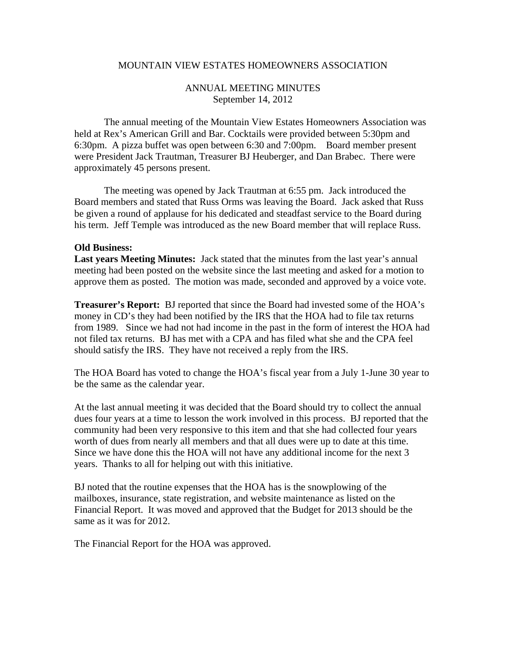## MOUNTAIN VIEW ESTATES HOMEOWNERS ASSOCIATION

## ANNUAL MEETING MINUTES September 14, 2012

 The annual meeting of the Mountain View Estates Homeowners Association was held at Rex's American Grill and Bar. Cocktails were provided between 5:30pm and 6:30pm. A pizza buffet was open between 6:30 and 7:00pm. Board member present were President Jack Trautman, Treasurer BJ Heuberger, and Dan Brabec. There were approximately 45 persons present.

 The meeting was opened by Jack Trautman at 6:55 pm. Jack introduced the Board members and stated that Russ Orms was leaving the Board. Jack asked that Russ be given a round of applause for his dedicated and steadfast service to the Board during his term. Jeff Temple was introduced as the new Board member that will replace Russ.

## **Old Business:**

**Last years Meeting Minutes:** Jack stated that the minutes from the last year's annual meeting had been posted on the website since the last meeting and asked for a motion to approve them as posted. The motion was made, seconded and approved by a voice vote.

**Treasurer's Report:** BJ reported that since the Board had invested some of the HOA's money in CD's they had been notified by the IRS that the HOA had to file tax returns from 1989. Since we had not had income in the past in the form of interest the HOA had not filed tax returns. BJ has met with a CPA and has filed what she and the CPA feel should satisfy the IRS. They have not received a reply from the IRS.

The HOA Board has voted to change the HOA's fiscal year from a July 1-June 30 year to be the same as the calendar year.

At the last annual meeting it was decided that the Board should try to collect the annual dues four years at a time to lesson the work involved in this process. BJ reported that the community had been very responsive to this item and that she had collected four years worth of dues from nearly all members and that all dues were up to date at this time. Since we have done this the HOA will not have any additional income for the next 3 years. Thanks to all for helping out with this initiative.

BJ noted that the routine expenses that the HOA has is the snowplowing of the mailboxes, insurance, state registration, and website maintenance as listed on the Financial Report. It was moved and approved that the Budget for 2013 should be the same as it was for 2012.

The Financial Report for the HOA was approved.